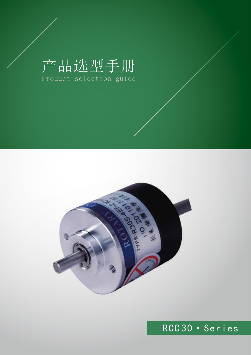# 产品选型手册 Product selection guide



## RCC 30 · Series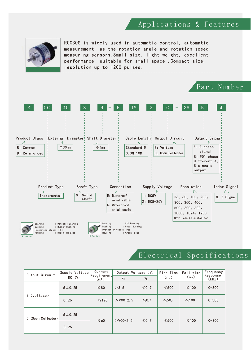#### Applications & Features



RCC30S is widely used in automatic control, automatic measurement, as the rotation angle and rotation speed measuring sensors.Small size, light weight, excellent performance, suitable for small space .Compact size, resolution up to 1200 pulses.



#### Electrical Specifications

| Output Circuit     | Supply Voltage<br>DC (V) | Current<br>Requirement | Output Voltage (V)<br>$V_H$<br>$V_L$ |            | Rise Time<br>(ns) | Fall time<br>(ns) | Frequency<br>Response |
|--------------------|--------------------------|------------------------|--------------------------------------|------------|-------------------|-------------------|-----------------------|
|                    |                          | (mA)                   |                                      |            |                   |                   | (kHz)                 |
|                    | 5 ± 0.25                 | $≤80$                  | >3.5                                 | $\leq 0.7$ | $\leq 500$        | $\leq 100$        | $0 - 300$             |
| E (Voltage)        | $8 - 26$                 | $\leq 120$             | $>$ VCC-2.5                          | $\leq 0.7$ | $\leq 500$        | $\leq 100$        | $0 - 300$             |
| C (Open Collector) | 5 ± 0.25                 | $\leq 60$              | $>$ VCC-2.5                          | $\leq 0.7$ | $\leq 500$        | $\leq 100$        | $0 - 300$             |
|                    | $8 - 26$                 |                        |                                      |            |                   |                   |                       |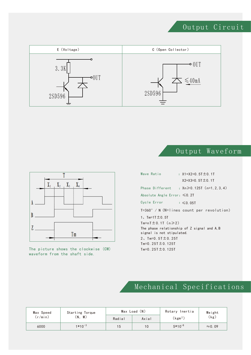### Output Circuit



Output Waveform



The picture shows the clockwise (CW) waveform from the shaft side.

| Wave Ratio                         | : $X1+X2=0.5T \pm 0.1T$<br>$X2+X3=0.5T \pm 0.1T$ |
|------------------------------------|--------------------------------------------------|
|                                    |                                                  |
|                                    | Phase Different : $Xn ≥ 0.125T$ (n=1, 2, 3, 4)   |
| Absolute Angle Error: $\leq 0.2$ T |                                                  |
| Cycle Error                        | $\approx$ 6.05T                                  |
|                                    | T=360° / N (N=lines count per revolution)        |
|                                    |                                                  |
| 1, $Tm = 1T \pm 0.5T$              |                                                  |
| $Tm=nT \pm 0.1T$ (n $\geq 2$ )     |                                                  |
|                                    |                                                  |
| signal is not stipulated.          | The phase relationship of Z signal and A.B       |
| 2, $Tm=0.5T \pm 0.25T$             |                                                  |
| Tm=0.25T $\pm$ 0.125T              |                                                  |
| Tm=0.25T $\pm$ 0.125T              |                                                  |

## Mechanical Specifications

| Max Speed | Starting Torque |        | Max Load (N) | Rotary Inertia      | Weight         |  |
|-----------|-----------------|--------|--------------|---------------------|----------------|--|
| (r/min)   | (N. M)          | Radial | Axial        | (kgm <sup>2</sup> ) | (kg)           |  |
| 6000      | $1*10^{-3}$     | 15     | 10           | $5*10^{-8}$         | $\approx$ 0.09 |  |